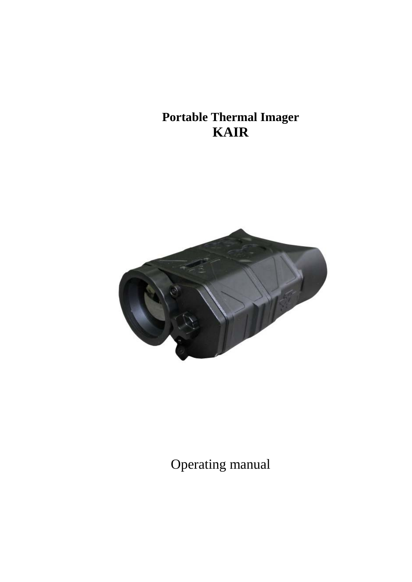# **Portable Thermal Imager KAIR**



Operating manual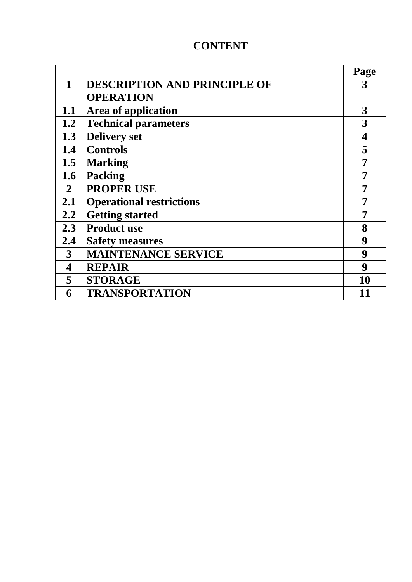# **CONTENT**

|              |                                     | Page |
|--------------|-------------------------------------|------|
| $\mathbf{1}$ | <b>DESCRIPTION AND PRINCIPLE OF</b> | 3    |
|              | <b>OPERATION</b>                    |      |
| 1.1          | <b>Area of application</b>          | 3    |
| 1.2          | <b>Technical parameters</b>         | 3    |
| 1.3          | <b>Delivery set</b>                 | 4    |
| 1.4          | <b>Controls</b>                     | 5    |
| 1.5          | <b>Marking</b>                      | 7    |
| 1.6          | <b>Packing</b>                      |      |
| $\mathbf{2}$ | <b>PROPER USE</b>                   | 7    |
| 2.1          | <b>Operational restrictions</b>     | 7    |
| 2.2          | <b>Getting started</b>              | 7    |
| 2.3          | <b>Product use</b>                  | 8    |
| 2.4          | <b>Safety measures</b>              | 9    |
| 3            | <b>MAINTENANCE SERVICE</b>          | 9    |
| 4            | <b>REPAIR</b>                       | 9    |
| 5            | <b>STORAGE</b>                      | 10   |
| 6            | <b>TRANSPORTATION</b>               | 11   |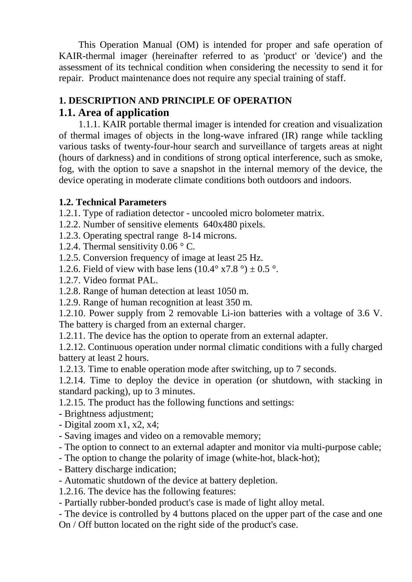This Operation Manual (OM) is intended for proper and safe operation of KAIR-thermal imager (hereinafter referred to as 'product' or 'device') and the assessment of its technical condition when considering the necessity to send it for repair. Product maintenance does not require any special training of staff.

# **1. DESCRIPTION AND PRINCIPLE OF OPERATION**

# **1.1. Area of application**

1.1.1. KAIR portable thermal imager is intended for creation and visualization of thermal images of objects in the long-wave infrared (IR) range while tackling various tasks of twenty-four-hour search and surveillance of targets areas at night (hours of darkness) and in conditions of strong optical interference, such as smoke, fog, with the option to save a snapshot in the internal memory of the device, the device operating in moderate climate conditions both outdoors and indoors.

## **1.2. Technical Parameters**

1.2.1. Type of radiation detector - uncooled micro bolometer matrix.

- 1.2.2. Number of sensitive elements 640x480 pixels.
- 1.2.3. Operating spectral range 8-14 microns.
- 1.2.4. Thermal sensitivity  $0.06 \degree$  C.
- 1.2.5. Conversion frequency of image at least 25 Hz.
- 1.2.6. Field of view with base lens  $(10.4^{\circ} \times 7.8^{\circ}) \pm 0.5^{\circ}$ .
- 1.2.7. Video format PAL.

1.2.8. Range of human detection at least 1050 m.

1.2.9. Range of human recognition at least 350 m.

1.2.10. Power supply from 2 removable Li-ion batteries with a voltage of 3.6 V. The battery is charged from an external charger.

1.2.11. The device has the option to operate from an external adapter.

1.2.12. Continuous operation under normal climatic conditions with a fully charged battery at least 2 hours.

1.2.13. Time to enable operation mode after switching, up to 7 seconds.

1.2.14. Time to deploy the device in operation (or shutdown, with stacking in standard packing), up to 3 minutes.

1.2.15. The product has the following functions and settings:

- Brightness adjustment;

- Digital zoom x1, x2, x4;

- Saving images and video on a removable memory;

- The option to connect to an external adapter and monitor via multi-purpose cable;

- The option to change the polarity of image (white-hot, black-hot);

- Battery discharge indication;

- Automatic shutdown of the device at battery depletion.

1.2.16. The device has the following features:

- Partially rubber-bonded product's case is made of light alloy metal.

- The device is controlled by 4 buttons placed on the upper part of the case and one On / Off button located on the right side of the product's case.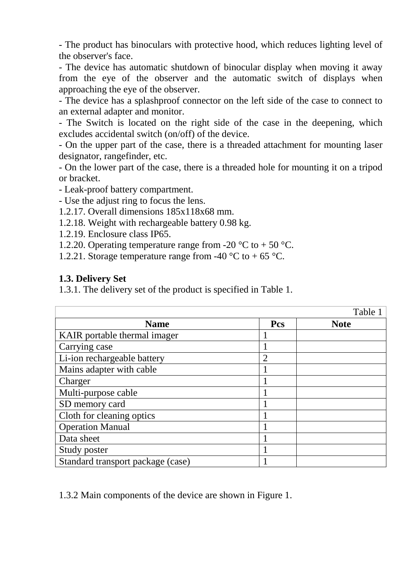- The product has binoculars with protective hood, which reduces lighting level of the observer's face.

- The device has automatic shutdown of binocular display when moving it away from the eye of the observer and the automatic switch of displays when approaching the eye of the observer.

- The device has a splashproof connector on the left side of the case to connect to an external adapter and monitor.

- The Switch is located on the right side of the case in the deepening, which excludes accidental switch (on/off) of the device.

- On the upper part of the case, there is a threaded attachment for mounting laser designator, rangefinder, etc.

- On the lower part of the case, there is a threaded hole for mounting it on a tripod or bracket.

- Leak-proof battery compartment.
- Use the adjust ring to focus the lens.
- 1.2.17. Overall dimensions 185x118x68 mm.
- 1.2.18. Weight with rechargeable battery 0.98 kg.
- 1.2.19. Enclosure class IP65.
- 1.2.20. Operating temperature range from -20  $^{\circ}$ C to + 50  $^{\circ}$ C.
- 1.2.21. Storage temperature range from -40  $^{\circ}$ C to +65  $^{\circ}$ C.

#### **1.3. Delivery Set**

1.3.1. The delivery set of the product is specified in Table 1.

|                                   |                | Table 1     |
|-----------------------------------|----------------|-------------|
| <b>Name</b>                       | Pcs            | <b>Note</b> |
| KAIR portable thermal imager      |                |             |
| Carrying case                     |                |             |
| Li-ion rechargeable battery       | $\overline{2}$ |             |
| Mains adapter with cable          |                |             |
| Charger                           |                |             |
| Multi-purpose cable               |                |             |
| SD memory card                    |                |             |
| Cloth for cleaning optics         |                |             |
| <b>Operation Manual</b>           |                |             |
| Data sheet                        |                |             |
| Study poster                      |                |             |
| Standard transport package (case) |                |             |

1.3.2 Main components of the device are shown in Figure 1.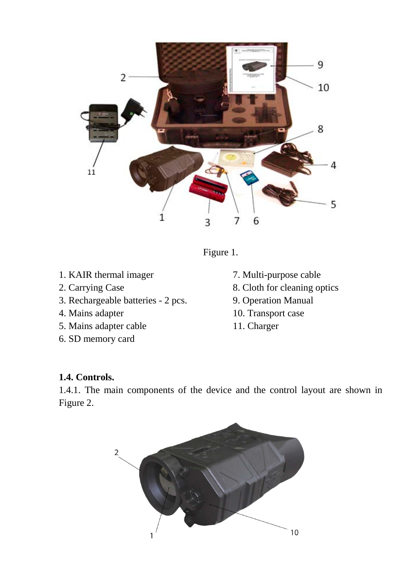

Figure 1.

- 1. KAIR thermal imager
- 2. Carrying Case
- 3. Rechargeable batteries 2 pcs.
- 4. Mains adapter
- 5. Mains adapter cable
- 6. SD memory card
- 7. Multi-purpose cable
- 8. Cloth for cleaning optics
- 9. Operation Manual
- 10. Transport case
- 11. Charger

#### **1.4. Controls.**

1.4.1. The main components of the device and the control layout are shown in Figure 2.

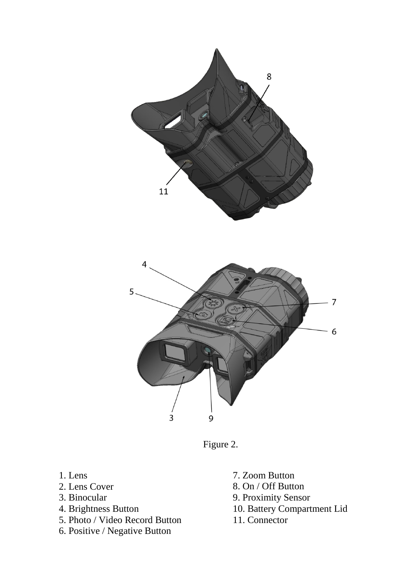



Figure 2.

- 1. Lens
- 2. Lens Cover
- 3. Binocular
- 4. Brightness Button
- 5. Photo / Video Record Button
- 6. Positive / Negative Button
- 7. Zoom Button
- 8. On / Off Button
- 9. Proximity Sensor
- 10. Battery Compartment Lid
- 11. Connector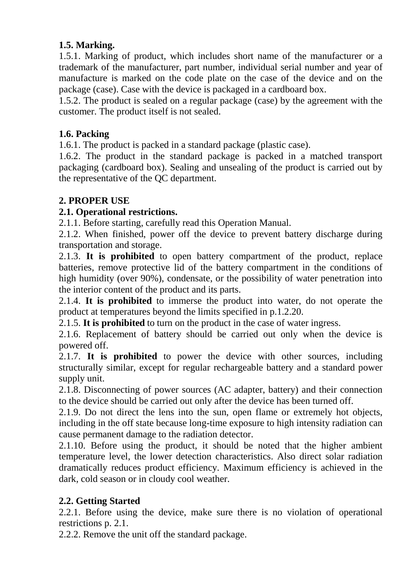## **1.5. Marking.**

1.5.1. Marking of product, which includes short name of the manufacturer or a trademark of the manufacturer, part number, individual serial number and year of manufacture is marked on the code plate on the case of the device and on the package (case). Case with the device is packaged in a cardboard box.

1.5.2. The product is sealed on a regular package (case) by the agreement with the customer. The product itself is not sealed.

#### **1.6. Packing**

1.6.1. The product is packed in a standard package (plastic case).

1.6.2. The product in the standard package is packed in a matched transport packaging (cardboard box). Sealing and unsealing of the product is carried out by the representative of the QC department.

#### **2. PROPER USE**

#### **2.1. Operational restrictions.**

2.1.1. Before starting, carefully read this Operation Manual.

2.1.2. When finished, power off the device to prevent battery discharge during transportation and storage.

2.1.3. **It is prohibited** to open battery compartment of the product, replace batteries, remove protective lid of the battery compartment in the conditions of high humidity (over 90%), condensate, or the possibility of water penetration into the interior content of the product and its parts.

2.1.4. **It is prohibited** to immerse the product into water, do not operate the product at temperatures beyond the limits specified in p.1.2.20.

2.1.5. **It is prohibited** to turn on the product in the case of water ingress.

2.1.6. Replacement of battery should be carried out only when the device is powered off.

2.1.7. **It is prohibited** to power the device with other sources, including structurally similar, except for regular rechargeable battery and a standard power supply unit.

2.1.8. Disconnecting of power sources (AC adapter, battery) and their connection to the device should be carried out only after the device has been turned off.

2.1.9. Do not direct the lens into the sun, open flame or extremely hot objects, including in the off state because long-time exposure to high intensity radiation can cause permanent damage to the radiation detector.

2.1.10. Before using the product, it should be noted that the higher ambient temperature level, the lower detection characteristics. Also direct solar radiation dramatically reduces product efficiency. Maximum efficiency is achieved in the dark, cold season or in cloudy cool weather.

## **2.2. Getting Started**

2.2.1. Before using the device, make sure there is no violation of operational restrictions p. 2.1.

2.2.2. Remove the unit off the standard package.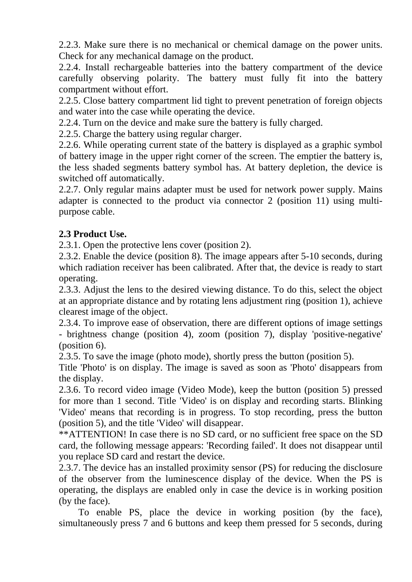2.2.3. Make sure there is no mechanical or chemical damage on the power units. Check for any mechanical damage on the product.

2.2.4. Install rechargeable batteries into the battery compartment of the device carefully observing polarity. The battery must fully fit into the battery compartment without effort.

2.2.5. Close battery compartment lid tight to prevent penetration of foreign objects and water into the case while operating the device.

2.2.4. Turn on the device and make sure the battery is fully charged.

2.2.5. Charge the battery using regular charger.

2.2.6. While operating current state of the battery is displayed as a graphic symbol of battery image in the upper right corner of the screen. The emptier the battery is, the less shaded segments battery symbol has. At battery depletion, the device is switched off automatically.

2.2.7. Only regular mains adapter must be used for network power supply. Mains adapter is connected to the product via connector 2 (position 11) using multipurpose cable.

#### **2.3 Product Use.**

2.3.1. Open the protective lens cover (position 2).

2.3.2. Enable the device (position 8). The image appears after 5-10 seconds, during which radiation receiver has been calibrated. After that, the device is ready to start operating.

2.3.3. Adjust the lens to the desired viewing distance. To do this, select the object at an appropriate distance and by rotating lens adjustment ring (position 1), achieve clearest image of the object.

2.3.4. To improve ease of observation, there are different options of image settings - brightness change (position 4), zoom (position 7), display 'positive-negative' (position 6).

2.3.5. To save the image (photo mode), shortly press the button (position 5).

Title 'Photo' is on display. The image is saved as soon as 'Photo' disappears from the display.

2.3.6. To record video image (Video Mode), keep the button (position 5) pressed for more than 1 second. Title 'Video' is on display and recording starts. Blinking 'Video' means that recording is in progress. To stop recording, press the button (position 5), and the title 'Video' will disappear.

\*\*ATTENTION! In case there is no SD card, or no sufficient free space on the SD card, the following message appears: 'Recording failed'. It does not disappear until you replace SD card and restart the device.

2.3.7. The device has an installed proximity sensor (PS) for reducing the disclosure of the observer from the luminescence display of the device. When the PS is operating, the displays are enabled only in case the device is in working position (by the face).

To enable PS, place the device in working position (by the face), simultaneously press 7 and 6 buttons and keep them pressed for 5 seconds, during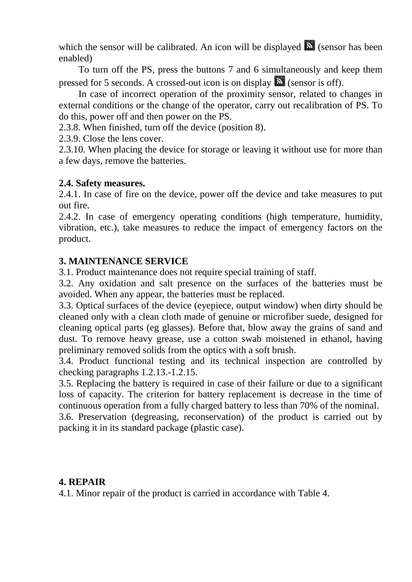which the sensor will be calibrated. An icon will be displayed  $\blacksquare$  (sensor has been enabled)

To turn off the PS, press the buttons 7 and 6 simultaneously and keep them pressed for 5 seconds. A crossed-out icon is on display  $\delta$  (sensor is off).

In case of incorrect operation of the proximity sensor, related to changes in external conditions or the change of the operator, carry out recalibration of PS. To do this, power off and then power on the PS.

2.3.8. When finished, turn off the device (position 8).

2.3.9. Close the lens cover.

2.3.10. When placing the device for storage or leaving it without use for more than a few days, remove the batteries.

#### **2.4. Safety measures.**

2.4.1. In case of fire on the device, power off the device and take measures to put out fire.

2.4.2. In case of emergency operating conditions (high temperature, humidity, vibration, etc.), take measures to reduce the impact of emergency factors on the product.

#### **3. MAINTENANCE SERVICE**

3.1. Product maintenance does not require special training of staff.

3.2. Any oxidation and salt presence on the surfaces of the batteries must be avoided. When any appear, the batteries must be replaced.

3.3. Optical surfaces of the device (eyepiece, output window) when dirty should be cleaned only with a clean cloth made of genuine or microfiber suede, designed for cleaning optical parts (eg glasses). Before that, blow away the grains of sand and dust. To remove heavy grease, use a cotton swab moistened in ethanol, having preliminary removed solids from the optics with a soft brush.

3.4. Product functional testing and its technical inspection are controlled by checking paragraphs 1.2.13.-1.2.15.

3.5. Replacing the battery is required in case of their failure or due to a significant loss of capacity. The criterion for battery replacement is decrease in the time of continuous operation from a fully charged battery to less than 70% of the nominal.

3.6. Preservation (degreasing, reconservation) of the product is carried out by packing it in its standard package (plastic case).

#### **4. REPAIR**

4.1. Minor repair of the product is carried in accordance with Table 4.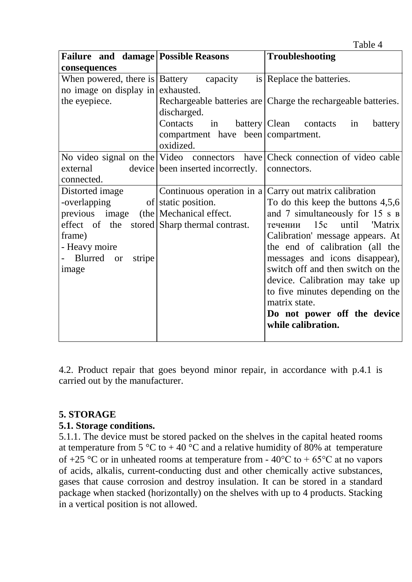|                                                 |                                    | Table 4                                                                      |
|-------------------------------------------------|------------------------------------|------------------------------------------------------------------------------|
| Failure and damage Possible Reasons             |                                    | <b>Troubleshooting</b>                                                       |
| consequences                                    |                                    |                                                                              |
| When powered, there is $\vert$ Battery capacity |                                    | is Replace the batteries.                                                    |
| no image on display in exhausted.               |                                    |                                                                              |
| the eyepiece.                                   |                                    | Rechargeable batteries are Charge the rechargeable batteries.                |
|                                                 | discharged.                        |                                                                              |
|                                                 | Contacts in                        | battery   Clean contacts<br>in<br>battery                                    |
|                                                 | compartment have been compartment. |                                                                              |
|                                                 | oxidized.                          |                                                                              |
|                                                 |                                    | No video signal on the Video connectors have Check connection of video cable |
| external                                        | device been inserted incorrectly.  | connectors.                                                                  |
| connected.                                      |                                    |                                                                              |
| Distorted image                                 |                                    | Continuous operation in a $Carry$ out matrix calibration                     |
| -overlapping                                    | of static position.                | To do this keep the buttons $4,5,6$                                          |
| previous image (the Mechanical effect.          |                                    | and 7 simultaneously for 15 s B                                              |
| effect of the stored Sharp thermal contrast.    |                                    | 15c<br>until<br>'Matrix<br>течении                                           |
| frame)                                          |                                    | Calibration' message appears. At                                             |
| - Heavy moire                                   |                                    | the end of calibration (all the                                              |
| <b>Blurred</b><br>stripe<br><sub>or</sub>       |                                    | messages and icons disappear),                                               |
| image                                           |                                    | switch off and then switch on the                                            |
|                                                 |                                    | device. Calibration may take up                                              |
|                                                 |                                    | to five minutes depending on the                                             |
|                                                 |                                    | matrix state.                                                                |
|                                                 |                                    | Do not power off the device                                                  |
|                                                 |                                    | while calibration.                                                           |
|                                                 |                                    |                                                                              |

4.2. Product repair that goes beyond minor repair, in accordance with p.4.1 is carried out by the manufacturer.

#### **5. STORAGE**

#### **5.1. Storage conditions.**

5.1.1. The device must be stored packed on the shelves in the capital heated rooms at temperature from 5  $\mathrm{°C}$  to +40  $\mathrm{°C}$  and a relative humidity of 80% at temperature of +25 °C or in unheated rooms at temperature from -  $40^{\circ}$ C to +  $65^{\circ}$ C at no vapors of acids, alkalis, current-conducting dust and other chemically active substances, gases that cause corrosion and destroy insulation. It can be stored in a standard package when stacked (horizontally) on the shelves with up to 4 products. Stacking in a vertical position is not allowed.